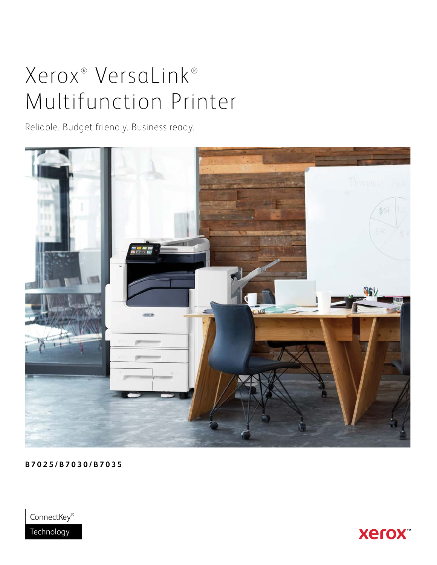# Xerox<sup>®</sup> VersaLink<sup>®</sup> Multifunction Printer

Reliable. Budget friendly. Business ready.



**B7025/B7030/B7035**



**Xerox**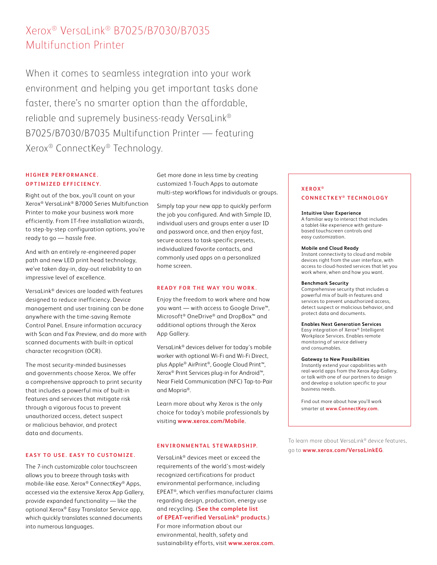# Xerox® VersaLink® B7025/B7030/B7035 Multifunction Printer

When it comes to seamless integration into your work environment and helping you get important tasks done faster, there's no smarter option than the affordable, reliable and supremely business-ready VersaLink® B7025/B7030/B7035 Multifunction Printer — featuring Xerox® ConnectKey® Technology.

# **HIGHER PERFORMANCE. OPTIMIZED EFFICIENCY.**

Right out of the box, you'll count on your Xerox® VersaLink® B7000 Series Multifunction Printer to make your business work more efficiently. From IT-free installation wizards, to step-by-step configuration options, you're ready to go — hassle free.

And with an entirely re-engineered paper path and new LED print head technology, we've taken day-in, day-out reliability to an impressive level of excellence.

VersaLink® devices are loaded with features designed to reduce inefficiency. Device management and user training can be done anywhere with the time-saving Remote Control Panel. Ensure information accuracy with Scan and Fax Preview, and do more with scanned documents with built-in optical character recognition (OCR).

The most security-minded businesses and governments choose Xerox. We offer a comprehensive approach to print security that includes a powerful mix of built-in features and services that mitigate risk through a vigorous focus to prevent unauthorized access, detect suspect or malicious behavior, and protect data and documents.

# **EASY TO USE. EASY TO CUSTOMIZE.**

The 7-inch customizable color touchscreen allows you to breeze through tasks with mobile-like ease. Xerox® ConnectKey® Apps, accessed via the extensive Xerox App Gallery, provide expanded functionality — like the optional Xerox® Easy Translator Service app, which quickly translates scanned documents into numerous languages.

Get more done in less time by creating customized 1-Touch Apps to automate multi-step workflows for individuals or groups.

Simply tap your new app to quickly perform the job you configured. And with Simple ID, individual users and groups enter a user ID and password once, and then enjoy fast, secure access to task-specific presets, individualized favorite contacts, and commonly used apps on a personalized home screen.

#### **READY FOR THE WAY YOU WORK.**

Enjoy the freedom to work where and how you want — with access to Google Drive™, Microsoft® OneDrive® and DropBox™ and additional options through the Xerox App Gallery.

VersaLink® devices deliver for today's mobile worker with optional Wi-Fi and Wi-Fi Direct, plus Apple® AirPrint®, Google Cloud Print™, Xerox® Print Services plug-in for Android™, Near Field Communication (NFC) Tap-to-Pair and Mopria®.

Learn more about why Xerox is the only choice for today's mobile professionals by visiting **[www.xerox.com/Mobile](http://www.xerox.com/mobile)**.

### **ENVIRONMENTAL STEWARDSHIP.**

VersaLink® devices meet or exceed the requirements of the world's most-widely recognized certifications for product environmental performance, including EPEAT®, which verifies manufacturer claims regarding design, production, energy use and recycling. (**[See the complete list](https://globalelectronicscouncil.org/epeat-registry/)** 

# **[of EPEAT-verified VersaLink® products.](https://globalelectronicscouncil.org/epeat-registry/)**) For more information about our environmental, health, safety and

sustainability efforts, visit **[www.xerox.com](http://www.xerox.com)**.

# **XEROX ® CONNECTKEY ® TECHNOLOGY**

#### **Intuitive User Experience**

A familiar way to interact that includes a tablet-like experience with gesturebased touchscreen controls and easy customization.

#### **Mobile and Cloud Ready**

Instant connectivity to cloud and mobile devices right from the user interface, with access to cloud-hosted services that let you work where, when and how you want.

#### **Benchmark Security**

Comprehensive security that includes a powerful mix of built-in features and services to prevent unauthorized access, detect suspect or malicious behavior, and protect data and documents.

#### **Enables Next Generation Services**

Easy integration of Xerox® Intelligent Workplace Services. Enables remote monitoring of service delivery and consumables.

#### **Gateway to New Possibilities**

Instantly extend your capabilities with real-world apps from the Xerox App Gallery, or talk with one of our partners to design and develop a solution specific to your business needs.

Find out more about how you'll work smarter at **[www.ConnectKey.com](http://www.connectkey.com)**.

To learn more about VersaLink® device features, go to **[www.xerox.com/VersaLinkEG](http://www.xerox.com/VersaLinkEG)**.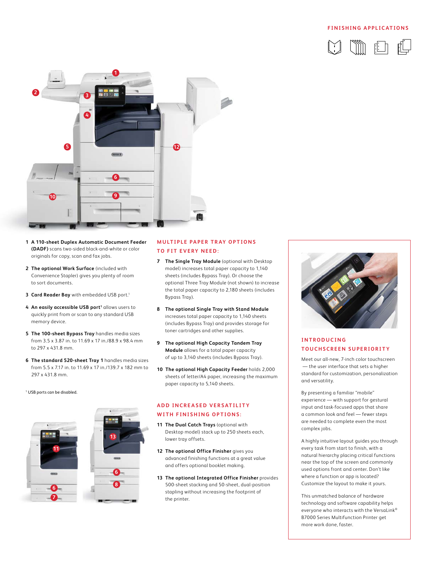## **FINISHING APPLICATIONS**





- **1 A 110-sheet Duplex Automatic Document Feeder (DADF)** scans two-sided black-and-white or color originals for copy, scan and fax jobs.
- **2 The optional Work Surface** (included with Convenience Stapler) gives you plenty of room to sort documents.
- **3 Card Reader Bay** with embedded USB port.1
- 4 An easily accessible USB port<sup>1</sup> allows users to quickly print from or scan to any standard USB memory device.
- **5 The 100-sheet Bypass Tray** handles media sizes from 3.5 x 3.87 in. to 11.69 x 17 in./88.9 x 98.4 mm to 297 x 431.8 mm.
- **6 The standard 520-sheet Tray 1** handles media sizes from 5.5 x 7.17 in. to 11.69 x 17 in./139.7 x 182 mm to 297 x 431.8 mm.

1 USB ports can be disabled.



# **MULTIPLE PAPER TRAY OPTIONS TO FIT EVERY NEED:**

- **7 The Single Tray Module** (optional with Desktop model) increases total paper capacity to 1,140 sheets (includes Bypass Tray). Or choose the optional Three Tray Module (not shown) to increase the total paper capacity to 2,180 sheets (includes Bypass Tray).
- **8 The optional Single Tray with Stand Module** increases total paper capacity to 1,140 sheets (includes Bypass Tray) and provides storage for toner cartridges and other supplies.
- **9 The optional High Capacity Tandem Tray Module** allows for a total paper capacity of up to 3,140 sheets (includes Bypass Tray).
- **10 The optional High Capacity Feeder** holds 2,000 sheets of letter/A4 paper, increasing the maximum paper capacity to 5,140 sheets.

# **ADD INCREASED VERSATILITY WITH FINISHING OPTIONS:**

- **11 The Dual Catch Trays** (optional with Desktop model) stack up to 250 sheets each, lower tray offsets.
- **12 The optional Office Finisher** gives you advanced finishing functions at a great value and offers optional booklet making.
- **13 The optional Integrated Office Finisher** provides 500-sheet stacking and 50-sheet, dual-position stapling without increasing the footprint of the printer.



# **I N T R O D U C I N G TOUCHSCREEN SUPERIORITY**

Meet our all-new, 7-inch color touchscreen — the user interface that sets a higher standard for customization, personalization and versatility.

By presenting a familiar "mobile" experience — with support for gestural input and task-focused apps that share a common look and feel — fewer steps are needed to complete even the most complex jobs.

A highly intuitive layout guides you through every task from start to finish, with a natural hierarchy placing critical functions near the top of the screen and commonly used options front and center. Don't like where a function or app is located? Customize the layout to make it yours.

This unmatched balance of hardware technology and software capability helps everyone who interacts with the VersaLink® B7000 Series Multifunction Printer get more work done, faster.